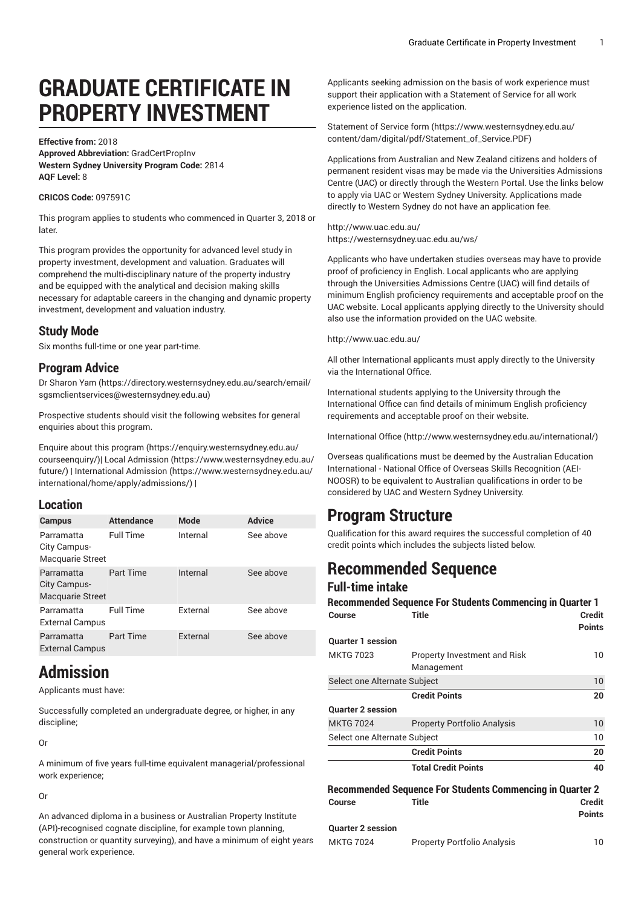# **GRADUATE CERTIFICATE IN PROPERTY INVESTMENT**

**Effective from:** 2018 **Approved Abbreviation:** GradCertPropInv **Western Sydney University Program Code:** 2814 **AQF Level:** 8

#### **CRICOS Code:** 097591C

This program applies to students who commenced in Quarter 3, 2018 or later.

This program provides the opportunity for advanced level study in property investment, development and valuation. Graduates will comprehend the multi-disciplinary nature of the property industry and be equipped with the analytical and decision making skills necessary for adaptable careers in the changing and dynamic property investment, development and valuation industry.

### **Study Mode**

Six months full-time or one year part-time.

### **Program Advice**

Dr [Sharon](https://directory.westernsydney.edu.au/search/email/sgsmclientservices@westernsydney.edu.au) Yam [\(https://directory.westernsydney.edu.au/search/email/](https://directory.westernsydney.edu.au/search/email/sgsmclientservices@westernsydney.edu.au) [sgsmclientservices@westernsydney.edu.au\)](https://directory.westernsydney.edu.au/search/email/sgsmclientservices@westernsydney.edu.au)

Prospective students should visit the following websites for general enquiries about this program.

Enquire about this [program \(https://enquiry.westernsydney.edu.au/](https://enquiry.westernsydney.edu.au/courseenquiry/) [courseenquiry/](https://enquiry.westernsydney.edu.au/courseenquiry/))| [Local Admission \(https://www.westernsydney.edu.au/](https://www.westernsydney.edu.au/future/) [future/\)](https://www.westernsydney.edu.au/future/) | [International Admission](https://www.westernsydney.edu.au/international/home/apply/admissions/) ([https://www.westernsydney.edu.au/](https://www.westernsydney.edu.au/international/home/apply/admissions/) [international/home/apply/admissions/](https://www.westernsydney.edu.au/international/home/apply/admissions/)) |

### **Location**

| Campus                                         | <b>Attendance</b> | <b>Mode</b> | <b>Advice</b> |
|------------------------------------------------|-------------------|-------------|---------------|
| Parramatta<br>City Campus-<br>Macquarie Street | <b>Full Time</b>  | Internal    | See above     |
| Parramatta<br>City Campus-<br>Macquarie Street | Part Time         | Internal    | See above     |
| Parramatta<br><b>External Campus</b>           | <b>Full Time</b>  | External    | See above     |
| Parramatta<br><b>External Campus</b>           | Part Time         | External    | See above     |

### **Admission**

Applicants must have:

Successfully completed an undergraduate degree, or higher, in any discipline;

Or

A minimum of five years full-time equivalent managerial/professional work experience;

Or

An advanced diploma in a business or Australian Property Institute (API)-recognised cognate discipline, for example town planning, construction or quantity surveying), and have a minimum of eight years general work experience.

Applicants seeking admission on the basis of work experience must support their application with a Statement of Service for all work experience listed on the application.

[Statement](https://www.westernsydney.edu.au/content/dam/digital/pdf/Statement_of_Service.PDF) of Service form [\(https://www.westernsydney.edu.au/](https://www.westernsydney.edu.au/content/dam/digital/pdf/Statement_of_Service.PDF) [content/dam/digital/pdf/Statement\\_of\\_Service.PDF](https://www.westernsydney.edu.au/content/dam/digital/pdf/Statement_of_Service.PDF))

Applications from Australian and New Zealand citizens and holders of permanent resident visas may be made via the Universities Admissions Centre (UAC) or directly through the Western Portal. Use the links below to apply via UAC or Western Sydney University. Applications made directly to Western Sydney do not have an application fee.

<http://www.uac.edu.au/> <https://westernsydney.uac.edu.au/ws/>

Applicants who have undertaken studies overseas may have to provide proof of proficiency in English. Local applicants who are applying through the Universities Admissions Centre (UAC) will find details of minimum English proficiency requirements and acceptable proof on the UAC website. Local applicants applying directly to the University should also use the information provided on the UAC website.

<http://www.uac.edu.au/>

All other International applicants must apply directly to the University via the International Office.

International students applying to the University through the International Office can find details of minimum English proficiency requirements and acceptable proof on their website.

[International Office](http://www.westernsydney.edu.au/international/) ([http://www.westernsydney.edu.au/international/\)](http://www.westernsydney.edu.au/international/)

Overseas qualifications must be deemed by the Australian Education International - National Office of Overseas Skills Recognition (AEI-NOOSR) to be equivalent to Australian qualifications in order to be considered by UAC and Western Sydney University.

### **Program Structure**

Qualification for this award requires the successful completion of 40 credit points which includes the subjects listed below.

## **Recommended Sequence**

### **Full-time intake**

|                              | <b>Recommended Sequence For Students Commencing in Quarter 1</b> |                                |
|------------------------------|------------------------------------------------------------------|--------------------------------|
| <b>Course</b>                | <b>Title</b>                                                     | <b>Credit</b><br><b>Points</b> |
| <b>Ouarter 1 session</b>     |                                                                  |                                |
| <b>MKTG 7023</b>             | Property Investment and Risk<br>Management                       | 10                             |
| Select one Alternate Subject |                                                                  | 10                             |
|                              | <b>Credit Points</b>                                             | 20                             |
| <b>Quarter 2 session</b>     |                                                                  |                                |
| <b>MKTG 7024</b>             | <b>Property Portfolio Analysis</b>                               | 10                             |
| Select one Alternate Subject |                                                                  | 10                             |
|                              | <b>Credit Points</b>                                             | 20                             |
|                              | <b>Total Credit Points</b>                                       | 40                             |

| <b>Recommended Sequence For Students Commencing in Quarter 2</b> |       |               |
|------------------------------------------------------------------|-------|---------------|
| <b>Course</b>                                                    | Title | <b>Credit</b> |
|                                                                  |       | <b>Points</b> |
| <b>Quarter 2 session</b>                                         |       |               |

| MKTG 7024 | Property Portfolio Analysis |  |
|-----------|-----------------------------|--|
|           |                             |  |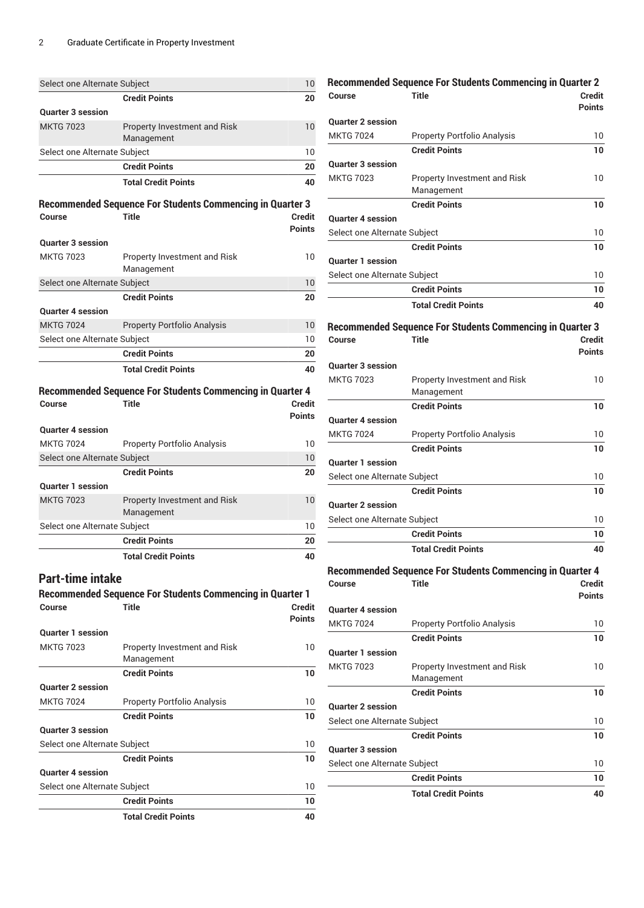| Select one Alternate Subject |                                                                  | 10                             |
|------------------------------|------------------------------------------------------------------|--------------------------------|
|                              | <b>Credit Points</b>                                             | 20                             |
| <b>Quarter 3 session</b>     |                                                                  |                                |
| <b>MKTG 7023</b>             | Property Investment and Risk<br>Management                       | 10                             |
| Select one Alternate Subject |                                                                  | 10                             |
|                              | <b>Credit Points</b>                                             | 20                             |
|                              | <b>Total Credit Points</b>                                       | 40                             |
|                              |                                                                  |                                |
|                              | <b>Recommended Sequence For Students Commencing in Quarter 3</b> |                                |
| Course                       | <b>Title</b>                                                     | <b>Credit</b><br><b>Points</b> |
| <b>Quarter 3 session</b>     |                                                                  |                                |
| <b>MKTG 7023</b>             | Property Investment and Risk<br>Management                       | 10                             |
| Select one Alternate Subject |                                                                  | 10                             |
|                              | <b>Credit Points</b>                                             | 20                             |
| <b>Quarter 4 session</b>     |                                                                  |                                |
| <b>MKTG 7024</b>             | <b>Property Portfolio Analysis</b>                               | 10                             |
| Select one Alternate Subject |                                                                  | 10                             |
|                              | <b>Credit Points</b>                                             | 20                             |
|                              | <b>Total Credit Points</b>                                       | 40                             |
|                              |                                                                  |                                |
|                              | <b>Recommended Sequence For Students Commencing in Quarter 4</b> |                                |
| <b>Course</b>                | <b>Title</b>                                                     | <b>Credit</b>                  |
|                              |                                                                  | Points                         |
| <b>Quarter 4 session</b>     |                                                                  |                                |
| <b>MKTG 7024</b>             | <b>Property Portfolio Analysis</b>                               | 10                             |
| Select one Alternate Subject |                                                                  | 10                             |
|                              | <b>Credit Points</b>                                             | 20                             |
| <b>Quarter 1 session</b>     |                                                                  |                                |
| <b>MKTG 7023</b>             | Property Investment and Risk<br>Management                       | 10                             |
| Select one Alternate Subject |                                                                  | 10                             |
|                              | <b>Credit Points</b>                                             | 20                             |
|                              | <b>Total Credit Points</b>                                       | 40                             |
| <b>Part-time intake</b>      | <b>Recommended Sequence For Students Commencing in Quarter 1</b> |                                |
| Course                       | <b>Title</b>                                                     | Credit                         |
|                              |                                                                  | <b>Points</b>                  |
| <b>Quarter 1 session</b>     |                                                                  |                                |
| <b>MKTG 7023</b>             | <b>Property Investment and Risk</b><br>Management                | 10                             |
|                              | <b>Credit Points</b>                                             | 10                             |
| <b>Quarter 2 session</b>     |                                                                  |                                |
| <b>MKTG 7024</b>             | <b>Property Portfolio Analysis</b>                               | 10                             |
|                              | <b>Credit Points</b>                                             | 10                             |
| <b>Quarter 3 session</b>     |                                                                  |                                |
| Select one Alternate Subject |                                                                  |                                |
|                              |                                                                  |                                |
|                              | <b>Credit Points</b>                                             |                                |
| <b>Quarter 4 session</b>     |                                                                  |                                |
| Select one Alternate Subject |                                                                  |                                |
|                              | <b>Credit Points</b>                                             |                                |
|                              | <b>Total Credit Points</b>                                       | 10<br>10<br>10<br>10<br>40     |

|                              | <b>Recommended Sequence For Students Commencing in Quarter 2</b> |                                |
|------------------------------|------------------------------------------------------------------|--------------------------------|
| Course                       | <b>Title</b>                                                     | Credit<br><b>Points</b>        |
| <b>Quarter 2 session</b>     |                                                                  |                                |
| <b>MKTG 7024</b>             | <b>Property Portfolio Analysis</b>                               | 10                             |
|                              | <b>Credit Points</b>                                             | 10                             |
| <b>Quarter 3 session</b>     |                                                                  |                                |
| <b>MKTG 7023</b>             | Property Investment and Risk<br>Management                       | 10                             |
|                              | <b>Credit Points</b>                                             | 10                             |
| <b>Quarter 4 session</b>     |                                                                  |                                |
| Select one Alternate Subject |                                                                  | 10                             |
|                              | <b>Credit Points</b>                                             | 10                             |
| <b>Quarter 1 session</b>     |                                                                  |                                |
| Select one Alternate Subject |                                                                  | 10                             |
|                              | <b>Credit Points</b>                                             | 10                             |
|                              | <b>Total Credit Points</b>                                       | 40                             |
|                              | <b>Recommended Sequence For Students Commencing in Quarter 3</b> |                                |
| Course                       | <b>Title</b>                                                     | <b>Credit</b><br><b>Points</b> |
| <b>Quarter 3 session</b>     |                                                                  |                                |
| <b>MKTG 7023</b>             | Property Investment and Risk<br>Management                       | 10                             |
|                              | <b>Credit Points</b>                                             | 10                             |
| <b>Quarter 4 session</b>     |                                                                  |                                |
| <b>MKTG 7024</b>             | <b>Property Portfolio Analysis</b>                               | 10                             |
|                              | <b>Credit Points</b>                                             | 10                             |
| <b>Quarter 1 session</b>     |                                                                  |                                |
| Select one Alternate Subject |                                                                  | 10                             |
|                              | <b>Credit Points</b>                                             | 10                             |
| <b>Quarter 2 session</b>     |                                                                  |                                |
| Select one Alternate Subject |                                                                  | 10                             |
|                              | <b>Credit Points</b>                                             | 10                             |
|                              | <b>Total Credit Points</b>                                       | 40                             |
|                              | <b>Recommended Sequence For Students Commencing in Quarter 4</b> |                                |
| Course                       | <b>Title</b>                                                     | Credit                         |
|                              |                                                                  | <b>Points</b>                  |
| <b>Quarter 4 session</b>     |                                                                  |                                |
| <b>MKTG 7024</b>             | <b>Property Portfolio Analysis</b>                               | 10                             |
|                              | <b>Credit Points</b>                                             | 10                             |
| <b>Quarter 1 session</b>     |                                                                  |                                |
| <b>MKTG 7023</b>             | Property Investment and Risk                                     | 10                             |
|                              | Management                                                       |                                |
|                              | <b>Credit Points</b>                                             | 10                             |
| <b>Quarter 2 session</b>     |                                                                  |                                |
| Select one Alternate Subject |                                                                  | 10                             |
|                              | <b>Credit Points</b>                                             | 10                             |
| <b>Quarter 3 session</b>     |                                                                  |                                |

Select one Alternate Subject 10

**Credit Points 10 Total Credit Points 40**